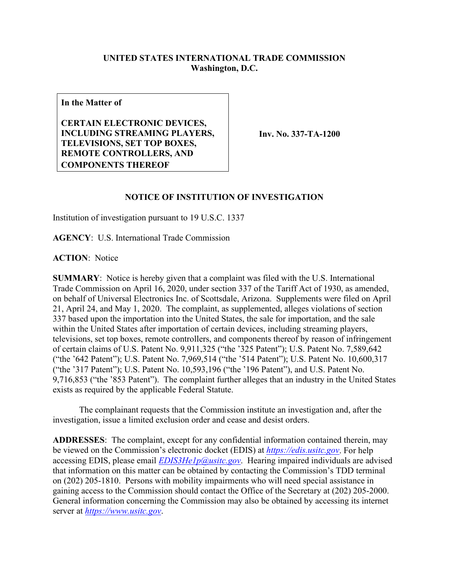## **UNITED STATES INTERNATIONAL TRADE COMMISSION Washington, D.C.**

**In the Matter of**

**CERTAIN ELECTRONIC DEVICES, INCLUDING STREAMING PLAYERS, TELEVISIONS, SET TOP BOXES, REMOTE CONTROLLERS, AND COMPONENTS THEREOF**

**Inv. No. 337-TA-1200**

## **NOTICE OF INSTITUTION OF INVESTIGATION**

Institution of investigation pursuant to 19 U.S.C. 1337

**AGENCY**: U.S. International Trade Commission

**ACTION**: Notice

**SUMMARY**: Notice is hereby given that a complaint was filed with the U.S. International Trade Commission on April 16, 2020, under section 337 of the Tariff Act of 1930, as amended, on behalf of Universal Electronics Inc. of Scottsdale, Arizona. Supplements were filed on April 21, April 24, and May 1, 2020. The complaint, as supplemented, alleges violations of section 337 based upon the importation into the United States, the sale for importation, and the sale within the United States after importation of certain devices, including streaming players, televisions, set top boxes, remote controllers, and components thereof by reason of infringement of certain claims of U.S. Patent No. 9,911,325 ("the '325 Patent"); U.S. Patent No. 7,589,642 ("the '642 Patent"); U.S. Patent No. 7,969,514 ("the '514 Patent"); U.S. Patent No. 10,600,317 ("the '317 Patent"); U.S. Patent No. 10,593,196 ("the '196 Patent"), and U.S. Patent No. 9,716,853 ("the '853 Patent"). The complaint further alleges that an industry in the United States exists as required by the applicable Federal Statute.

The complainant requests that the Commission institute an investigation and, after the investigation, issue a limited exclusion order and cease and desist orders.

**ADDRESSES**: The complaint, except for any confidential information contained therein, may be viewed on the Commission's electronic docket (EDIS) at *[https://edis.usitc.gov](https://edis.usitc.gov/)*. For help accessing EDIS, please email *[EDIS3He1p@usitc.gov](mailto:EDIS3He1p@usitc.gov)*. Hearing impaired individuals are advised that information on this matter can be obtained by contacting the Commission's TDD terminal on (202) 205-1810. Persons with mobility impairments who will need special assistance in gaining access to the Commission should contact the Office of the Secretary at (202) 205-2000. General information concerning the Commission may also be obtained by accessing its internet server at *[https://www.usitc.gov](https://www.usitc.gov/)*.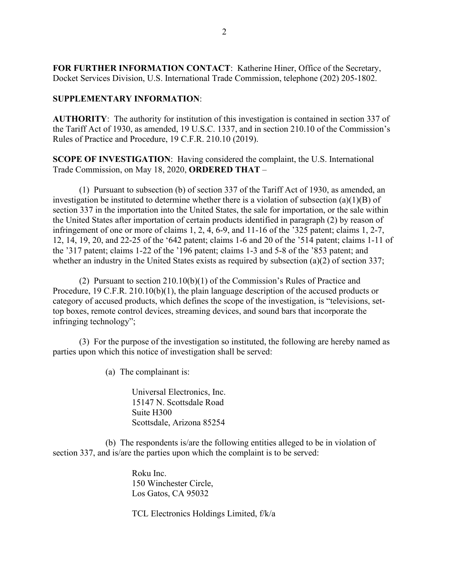**FOR FURTHER INFORMATION CONTACT**: Katherine Hiner, Office of the Secretary, Docket Services Division, U.S. International Trade Commission, telephone (202) 205-1802.

## **SUPPLEMENTARY INFORMATION**:

**AUTHORITY**: The authority for institution of this investigation is contained in section 337 of the Tariff Act of 1930, as amended, 19 U.S.C. 1337, and in section 210.10 of the Commission's Rules of Practice and Procedure, 19 C.F.R. 210.10 (2019).

**SCOPE OF INVESTIGATION**: Having considered the complaint, the U.S. International Trade Commission, on May 18, 2020, **ORDERED THAT** –

(1) Pursuant to subsection (b) of section 337 of the Tariff Act of 1930, as amended, an investigation be instituted to determine whether there is a violation of subsection (a)(1)(B) of section 337 in the importation into the United States, the sale for importation, or the sale within the United States after importation of certain products identified in paragraph (2) by reason of infringement of one or more of claims 1, 2, 4, 6-9, and 11-16 of the '325 patent; claims 1, 2-7, 12, 14, 19, 20, and 22-25 of the '642 patent; claims 1-6 and 20 of the '514 patent; claims 1-11 of the '317 patent; claims 1-22 of the '196 patent; claims 1-3 and 5-8 of the '853 patent; and whether an industry in the United States exists as required by subsection (a)(2) of section 337;

(2) Pursuant to section 210.10(b)(1) of the Commission's Rules of Practice and Procedure, 19 C.F.R. 210.10(b)(1), the plain language description of the accused products or category of accused products, which defines the scope of the investigation, is "televisions, settop boxes, remote control devices, streaming devices, and sound bars that incorporate the infringing technology";

(3) For the purpose of the investigation so instituted, the following are hereby named as parties upon which this notice of investigation shall be served:

(a) The complainant is:

Universal Electronics, Inc. 15147 N. Scottsdale Road Suite H300 Scottsdale, Arizona 85254

(b) The respondents is/are the following entities alleged to be in violation of section 337, and is/are the parties upon which the complaint is to be served:

> Roku Inc. 150 Winchester Circle, Los Gatos, CA 95032

TCL Electronics Holdings Limited, f/k/a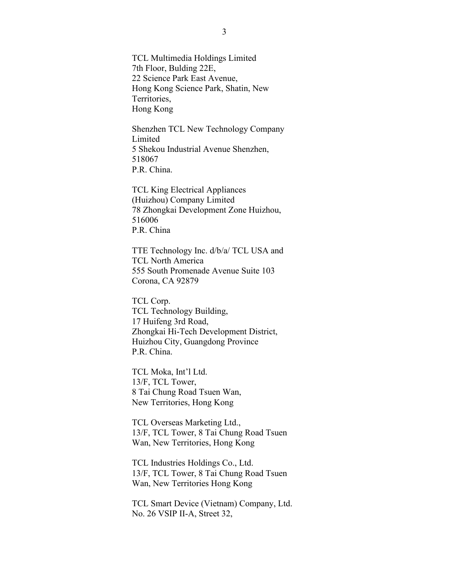TCL Multimedia Holdings Limited 7th Floor, Bulding 22E, 22 Science Park East Avenue, Hong Kong Science Park, Shatin, New Territories, Hong Kong

Shenzhen TCL New Technology Company Limited 5 Shekou Industrial Avenue Shenzhen, 518067 P.R. China.

TCL King Electrical Appliances (Huizhou) Company Limited 78 Zhongkai Development Zone Huizhou, 516006 P.R. China

TTE Technology Inc. d/b/a/ TCL USA and TCL North America 555 South Promenade Avenue Suite 103 Corona, CA 92879

TCL Corp. TCL Technology Building, 17 Huifeng 3rd Road, Zhongkai Hi-Tech Development District, Huizhou City, Guangdong Province P.R. China.

TCL Moka, Int'l Ltd. 13/F, TCL Tower, 8 Tai Chung Road Tsuen Wan, New Territories, Hong Kong

TCL Overseas Marketing Ltd., 13/F, TCL Tower, 8 Tai Chung Road Tsuen Wan, New Territories, Hong Kong

TCL Industries Holdings Co., Ltd. 13/F, TCL Tower, 8 Tai Chung Road Tsuen Wan, New Territories Hong Kong

TCL Smart Device (Vietnam) Company, Ltd. No. 26 VSIP II-A, Street 32,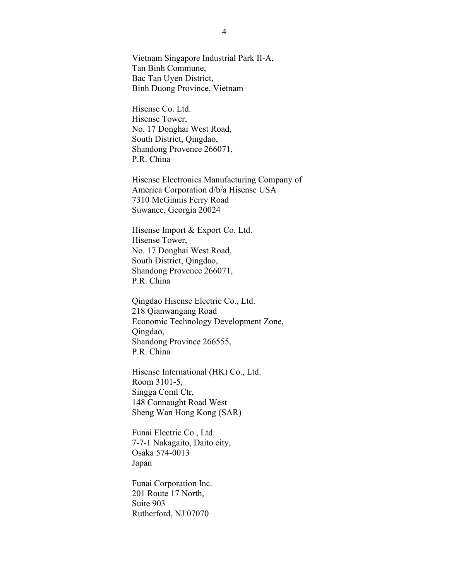Vietnam Singapore Industrial Park II-A, Tan Binh Commune, Bac Tan Uyen District, Binh Duong Province, Vietnam

Hisense Co. Ltd. Hisense Tower, No. 17 Donghai West Road, South District, Qingdao, Shandong Provence 266071, P.R. China

Hisense Electronics Manufacturing Company of America Corporation d/b/a Hisense USA 7310 McGinnis Ferry Road Suwanee, Georgia 20024

Hisense Import & Export Co. Ltd. Hisense Tower, No. 17 Donghai West Road, South District, Qingdao, Shandong Provence 266071, P.R. China

Qingdao Hisense Electric Co., Ltd. 218 Qianwangang Road Economic Technology Development Zone, Qingdao, Shandong Province 266555, P.R. China

Hisense International (HK) Co., Ltd. Room 3101-5, Singga Coml Ctr, 148 Connaught Road West Sheng Wan Hong Kong (SAR)

Funai Electric Co., Ltd. 7-7-1 Nakagaito, Daito city, Osaka 574-0013 Japan

Funai Corporation Inc. 201 Route 17 North, Suite 903 Rutherford, NJ 07070